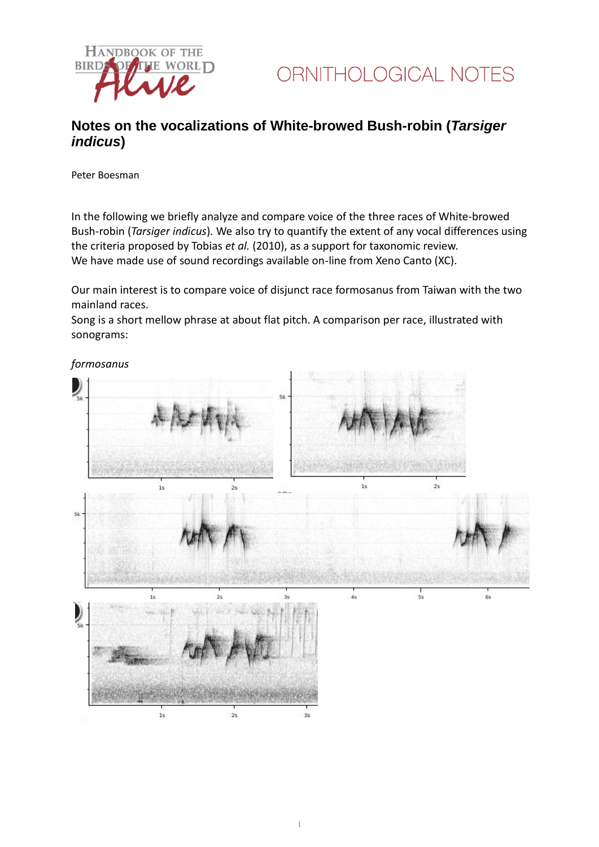

### **Notes on the vocalizations of White-browed Bush-robin (***Tarsiger indicus***)**

Peter Boesman

In the following we briefly analyze and compare voice of the three races of White-browed Bush-robin (*Tarsiger indicus*)*.* We also try to quantify the extent of any vocal differences using the criteria proposed by Tobias *et al.* (2010), as a support for taxonomic review. We have made use of sound recordings available on-line from Xeno Canto (XC).

Our main interest is to compare voice of disjunct race formosanus from Taiwan with the two mainland races.

Song is a short mellow phrase at about flat pitch. A comparison per race, illustrated with sonograms:

*formosanus*

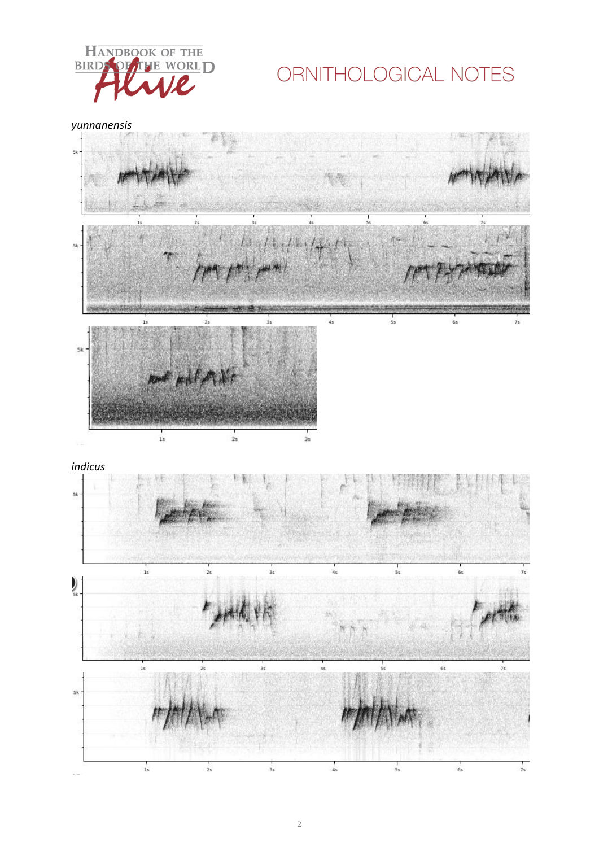

# ORNITHOLOGICAL NOTES

*yunnanensis*